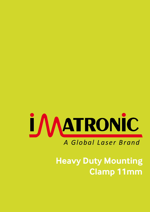

### *A Global Laser Brand*

### **Heavy Duty Mounting Clamp 11mm**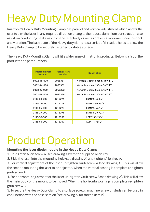# Heavy Duty Mounting Clamp

Imatronic's Heavy Duty Mounting Clamp has parallel and vertical adjustment which allows the user to aim the laser in any required direction or angle, the robust aluminium construction also assists in conducting heat away from the laser body as well as prevents movement due to shock and vibration. The base plate of the Heavy duty clamp has a series of threaded holes to allow the Heavy Duty Clamp to be securely fastened to stable surface.

The Heavy Duty Mounting Clamp will fit a wide range of Imatronic products. Below is a list of the products and part numbers

| <b>Imatronic Part Farnell Part</b><br>Number | <b>Example 1</b> Number | <b>Description</b>             |
|----------------------------------------------|-------------------------|--------------------------------|
| 5002-45-000                                  | 2065351                 | Versatile Module 635nm 1mW TTL |
| 5002-46-000                                  | 2065352                 | Versatile Module 635nm 3mW TTL |
| 5002-47-000                                  | 2065353                 | Versatile Module 650nm 1mW TTL |
| 5002-48-000                                  | 2065354                 | Versatile Module 650nm 3mW TTL |
| 3115-28-000                                  | 1216294                 | LDM115G/633/1                  |
| 3115-29-000                                  | 1216313                 | LDM115G/633/5                  |
| 3115-26-000                                  | 1216290                 | LDM115G/670/1                  |
| 3115-27-000                                  | 1216291                 | LDM115G/670/3                  |
| 3115-52-000                                  | 1216308                 | LDM115P/635/1                  |
| 3115-51-000                                  | 1216307                 | LDM115P/650/1                  |

## Product Operation

#### **Mounting the laser diode module in the Heavy Duty Clamp**

- 1. Un-tighten Allen screw A (see drawing A) with the supplied Allen key.
- 2. Slide the laser into the mounting hole (see drawing A) and tighten Allen key A.

3. For vertical adjustment of the laser un-tighten Grub screw A (see drawing A). This will allow the section mounting the laser to be adjusted. When the vertical posting is complete re-tighten grub screw A.

4. For horizontal adjustment of the laser un-tighten Grub screw B (see drawing A). This will allow the main body of the mount to be moved. When the horizontal positing is complete re-tighten grub screw B.

5. To secure the Heavy Duty Clamp to a surface screws, machine screw or studs can be used in conjunction with the base section (see drawing A for thread details)